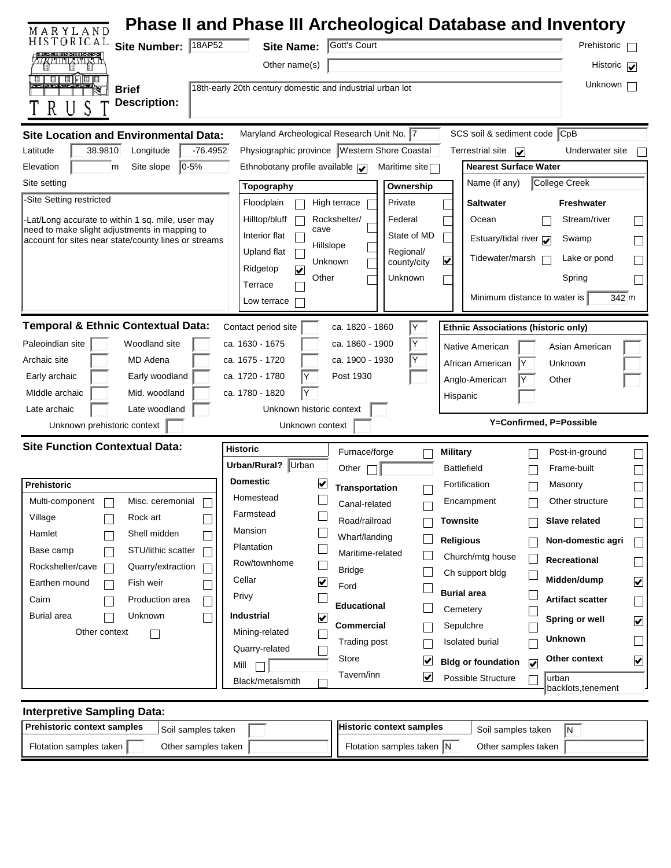| MARYLAND                                                                                                     |                                                           |                                                              | Phase II and Phase III Archeological Database and Inventory    |                                         |
|--------------------------------------------------------------------------------------------------------------|-----------------------------------------------------------|--------------------------------------------------------------|----------------------------------------------------------------|-----------------------------------------|
| HISTORICAL<br>Site Number: 18AP52                                                                            | <b>Site Name:</b>                                         | Gott's Court                                                 |                                                                | Prehistoric                             |
| <b>TITILANI KUT</b>                                                                                          | Other name(s)                                             |                                                              |                                                                | Historic $\boxed{\blacktriangledown}$   |
| ण ण ण ण ण ण<br><b>Brief</b>                                                                                  | 18th-early 20th century domestic and industrial urban lot |                                                              |                                                                | Unknown                                 |
| <b>Description:</b>                                                                                          |                                                           |                                                              |                                                                |                                         |
|                                                                                                              |                                                           |                                                              |                                                                |                                         |
| <b>Site Location and Environmental Data:</b>                                                                 | Maryland Archeological Research Unit No. 7                |                                                              | SCS soil & sediment code CpB                                   |                                         |
| Latitude<br>38.9810<br>Longitude<br>$-76.4952$                                                               |                                                           | Physiographic province   Western Shore Coastal               | <b>Terrestrial site</b><br>$\blacktriangleright$               | Underwater site                         |
| $ 0-5%$<br>Elevation<br>m<br>Site slope<br>Site setting                                                      | Ethnobotany profile available $\sqrt{\phantom{a}}$        | Maritime site <sup>-</sup>                                   | <b>Nearest Surface Water</b><br>College Creek<br>Name (if any) |                                         |
| -Site Setting restricted                                                                                     | Topography                                                | Ownership                                                    |                                                                |                                         |
|                                                                                                              | Floodplain                                                | High terrace<br>Private                                      | Saltwater                                                      | <b>Freshwater</b>                       |
| Lat/Long accurate to within 1 sq. mile, user may<br>need to make slight adjustments in mapping to            | Hilltop/bluff<br>cave<br>Interior flat                    | Federal<br>Rockshelter/<br>State of MD                       | Ocean                                                          | Stream/river                            |
| account for sites near state/county lines or streams                                                         | Hillslope<br>Upland flat                                  | Regional/                                                    | Estuary/tidal river $\sqrt{\phantom{a}}$                       | Swamp                                   |
|                                                                                                              | Unknown<br>Ridgetop<br><u>V</u>                           | county/city                                                  | Tidewater/marsh<br>⊻                                           | Lake or pond                            |
|                                                                                                              | Other<br>Terrace                                          | Unknown                                                      |                                                                | Spring                                  |
|                                                                                                              | Low terrace                                               |                                                              | Minimum distance to water is                                   | 342 m                                   |
| <b>Temporal &amp; Ethnic Contextual Data:</b>                                                                | Contact period site                                       | Y<br>ca. 1820 - 1860                                         |                                                                |                                         |
| Paleoindian site<br>Woodland site                                                                            | ca. 1630 - 1675                                           | Y<br>ca. 1860 - 1900                                         | <b>Ethnic Associations (historic only)</b>                     |                                         |
| MD Adena<br>Archaic site                                                                                     | ca. 1675 - 1720                                           | ca. 1900 - 1930<br>Y                                         | Native American                                                | Asian American                          |
|                                                                                                              |                                                           |                                                              | African American                                               | Unknown                                 |
| Early woodland                                                                                               | ca. 1720 - 1780                                           | Post 1930                                                    |                                                                |                                         |
| Early archaic<br>MIddle archaic<br>Mid. woodland                                                             | Y<br>ca. 1780 - 1820                                      |                                                              | Anglo-American<br>Other                                        |                                         |
| Late archaic<br>Late woodland                                                                                | Unknown historic context                                  |                                                              | Hispanic                                                       |                                         |
| Unknown prehistoric context                                                                                  | Unknown context                                           |                                                              | Y=Confirmed, P=Possible                                        |                                         |
| <b>Site Function Contextual Data:</b>                                                                        | <b>Historic</b>                                           |                                                              |                                                                |                                         |
|                                                                                                              | Urban/Rural? Urban                                        | Furnace/forge                                                | Military<br><b>Battlefield</b>                                 | Post-in-ground                          |
| <b>Prehistoric</b>                                                                                           | <b>Domestic</b><br>V                                      | Other                                                        | Fortification                                                  | Frame-built<br>Masonry                  |
| Multi-component  <br>Misc. ceremonial<br>ட                                                                   | Homestead                                                 | Transportation                                               | Encampment                                                     | Other structure                         |
| Village<br>Rock art                                                                                          | Farmstead                                                 | Canal-related<br>Road/railroad                               | Townsite                                                       | <b>Slave related</b>                    |
| Hamlet<br>Shell midden                                                                                       | Mansion                                                   | Wharf/landing                                                |                                                                | $\sim$                                  |
| Base camp<br>STU/lithic scatter                                                                              | Plantation                                                | Maritime-related                                             | <b>Religious</b>                                               | Non-domestic agri<br>П                  |
| Rockshelter/cave<br>Quarry/extraction                                                                        | Row/townhome                                              | <b>Bridge</b>                                                | Church/mtg house<br>Ch support bldg                            | <b>Recreational</b>                     |
| Earthen mound<br>Fish weir                                                                                   | Cellar<br>$\blacktriangledown$                            | Ford                                                         | <b>Burial area</b>                                             | Midden/dump<br>$\blacktriangledown$     |
| Production area<br>Cairn                                                                                     | Privy                                                     | <b>Educational</b>                                           | Cemetery                                                       | <b>Artifact scatter</b><br>$\Box$       |
| Burial area<br>Unknown                                                                                       | <b>Industrial</b><br>⊻                                    | <b>Commercial</b>                                            | Sepulchre                                                      | Spring or well<br>$\blacktriangleright$ |
| Other context                                                                                                | Mining-related                                            | <b>Trading post</b>                                          | Isolated burial                                                | Unknown                                 |
|                                                                                                              | Quarry-related<br>Mill                                    | Store<br>☑                                                   | <b>Bldg or foundation</b><br>$\overline{\mathbf{v}}$           | Other context<br>$\blacktriangledown$   |
|                                                                                                              | Black/metalsmith                                          | Tavern/inn<br>☑                                              | Possible Structure<br>urban                                    |                                         |
|                                                                                                              |                                                           |                                                              |                                                                | backlots, tenement                      |
| <b>Interpretive Sampling Data:</b>                                                                           |                                                           |                                                              |                                                                |                                         |
| <b>Prehistoric context samples</b><br>Soil samples taken<br>Flotation samples taken  <br>Other samples taken |                                                           | <b>Historic context samples</b><br>Flotation samples taken N | Soil samples taken<br>Other samples taken                      | l٧.                                     |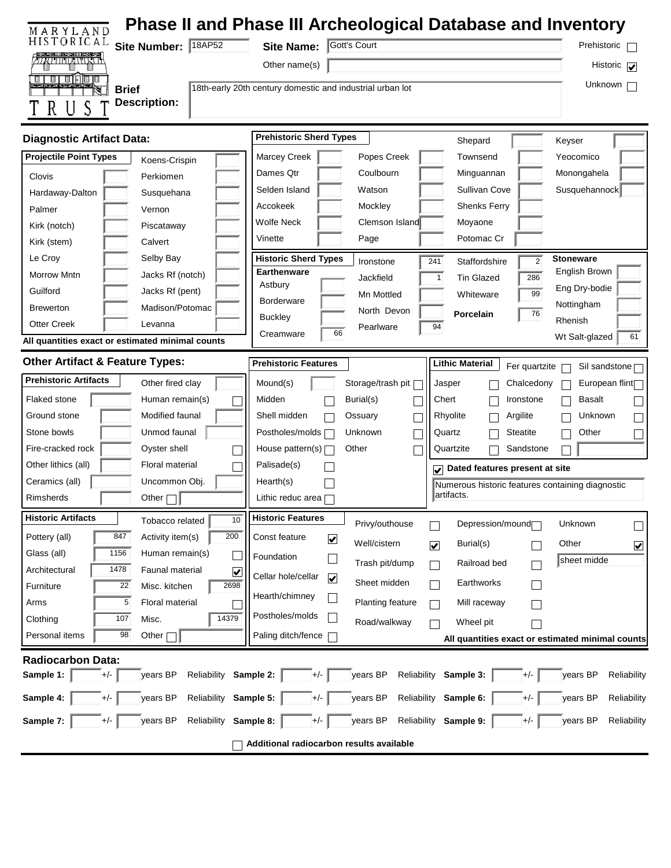| MARYLAND                                                            |                                                                                             | Phase II and Phase III Archeological Database and Inventory                |
|---------------------------------------------------------------------|---------------------------------------------------------------------------------------------|----------------------------------------------------------------------------|
| HISTORICAL<br>Site Number: 18AP52                                   | Gott's Court<br><b>Site Name:</b>                                                           | Prehistoric                                                                |
| atiinawa K                                                          | Other name(s)                                                                               | Historic $\sqrt{\phantom{a}}$                                              |
| ण पानि णि प<br><b>Brief</b>                                         | 18th-early 20th century domestic and industrial urban lot                                   | Unknown                                                                    |
| <b>Description:</b>                                                 |                                                                                             |                                                                            |
|                                                                     |                                                                                             |                                                                            |
| <b>Diagnostic Artifact Data:</b>                                    | <b>Prehistoric Sherd Types</b>                                                              | Shepard<br>Keyser                                                          |
| <b>Projectile Point Types</b><br>Koens-Crispin                      | Marcey Creek<br>Popes Creek                                                                 | Townsend<br>Yeocomico                                                      |
| Clovis<br>Perkiomen                                                 | Dames Qtr<br>Coulbourn                                                                      | Minguannan<br>Monongahela                                                  |
| Hardaway-Dalton<br>Susquehana                                       | Selden Island<br>Watson                                                                     | Sullivan Cove<br>Susquehannock                                             |
| Palmer<br>Vernon                                                    | Accokeek<br>Mockley                                                                         | <b>Shenks Ferry</b>                                                        |
| Kirk (notch)<br>Piscataway                                          | Wolfe Neck<br>Clemson Island                                                                | Moyaone                                                                    |
| Kirk (stem)<br>Calvert                                              | Vinette<br>Page                                                                             | Potomac Cr                                                                 |
| Le Croy<br>Selby Bay                                                | <b>Historic Sherd Types</b><br>241<br>Ironstone<br>Earthenware                              | <b>Stoneware</b><br>$\overline{2}$<br>Staffordshire                        |
| Morrow Mntn<br>Jacks Rf (notch)                                     | Jackfield<br>Astbury                                                                        | English Brown<br>286<br><b>Tin Glazed</b><br>$\mathbf{1}$<br>Eng Dry-bodie |
| Guilford<br>Jacks Rf (pent)                                         | Mn Mottled<br><b>Borderware</b>                                                             | 99<br>Whiteware<br>Nottingham                                              |
| Madison/Potomac<br><b>Brewerton</b>                                 | North Devon<br><b>Buckley</b>                                                               | 76<br>Porcelain<br>Rhenish                                                 |
| Otter Creek<br>Levanna                                              | Pearlware<br>66<br>Creamware                                                                | 94<br>61<br>Wt Salt-glazed                                                 |
| All quantities exact or estimated minimal counts                    |                                                                                             |                                                                            |
| <b>Other Artifact &amp; Feature Types:</b>                          | <b>Prehistoric Features</b>                                                                 | <b>Lithic Material</b><br>Fer quartzite<br>Sil sandstone [                 |
| <b>Prehistoric Artifacts</b><br>Other fired clay                    | Storage/trash pit [<br>Mound(s)                                                             | European flint<br>Jasper<br>Chalcedony                                     |
| Human remain(s)<br><b>Flaked stone</b>                              | Midden<br>Burial(s)                                                                         | Chert<br><b>Basalt</b><br>Ironstone                                        |
| Modified faunal<br>Ground stone                                     | Shell midden<br>Ossuary                                                                     | Rhyolite<br>Unknown<br>Argilite                                            |
| Stone bowls<br>Unmod faunal                                         | Postholes/molds<br>Unknown                                                                  | Quartz<br><b>Steatite</b><br>Other                                         |
| Fire-cracked rock<br>Oyster shell                                   | House pattern(s) $\Box$<br>Other                                                            | Quartzite<br>Sandstone                                                     |
| Other lithics (all)<br>Floral material                              | Palisade(s)                                                                                 | $\sqrt{\phantom{a}}$ Dated features present at site                        |
| Ceramics (all)<br>Uncommon Obj.                                     | Hearth(s)                                                                                   | Numerous historic features containing diagnostic                           |
| Other $\Box$<br>Rimsherds                                           | Lithic reduc area $\Box$                                                                    | artifacts.                                                                 |
| <b>Historic Artifacts</b><br>10<br>Tobacco related                  | <b>Historic Features</b><br>Privy/outhouse<br>П                                             | Depression/mound<br>Unknown<br>$\Box$                                      |
| 847<br>200<br>Activity item(s)<br>Pottery (all)                     | Const feature<br>$\overline{\mathbf{v}}$<br>Well/cistern<br>$\overline{\blacktriangledown}$ | Burial(s)<br>Other<br>$\boxed{\blacktriangledown}$                         |
| 1156<br>Glass (all)<br>Human remain(s)                              | Foundation                                                                                  | sheet midde                                                                |
| 1478<br>Faunal material<br>Architectural<br>$\overline{\mathbf{v}}$ | Trash pit/dump<br>$\Box$<br>Cellar hole/cellar<br>$\blacktriangledown$                      | Railroad bed                                                               |
| 2698<br>22<br>Misc. kitchen<br>Furniture                            | Sheet midden                                                                                | Earthworks                                                                 |
| 5<br>Floral material<br>Arms                                        | Hearth/chimney<br>Planting feature<br>$\vert \ \ \vert$                                     | Mill raceway                                                               |
| 14379<br>107<br>Misc.<br>Clothing                                   | Postholes/molds<br>Road/walkway                                                             | Wheel pit                                                                  |
| 98<br>Personal items<br>Other $\Gamma$                              | Paling ditch/fence                                                                          | All quantities exact or estimated minimal counts                           |
| Radiocarbon Data:                                                   |                                                                                             |                                                                            |
| Sample 1:<br>$+/-$<br>years BP<br>Reliability                       | years BP<br>Reliability<br>Sample 2:<br>$+/-$                                               | Sample 3:<br>years BP<br>Reliability<br>$+/-$                              |
| Sample 4:<br>$+/-$<br>years BP<br>Reliability                       | years BP<br>Sample 5:<br>Reliability<br>$+/-$                                               | Sample 6:<br>years BP<br>Reliability<br>$+/-$                              |
| years BP<br>Reliability<br>Sample 7:<br>$+/-$                       | years BP<br>Reliability<br>Sample 8:<br>$+/-$                                               | Sample 9:<br>years BP<br>Reliability<br>$+/-$                              |
|                                                                     | Additional radiocarbon results available                                                    |                                                                            |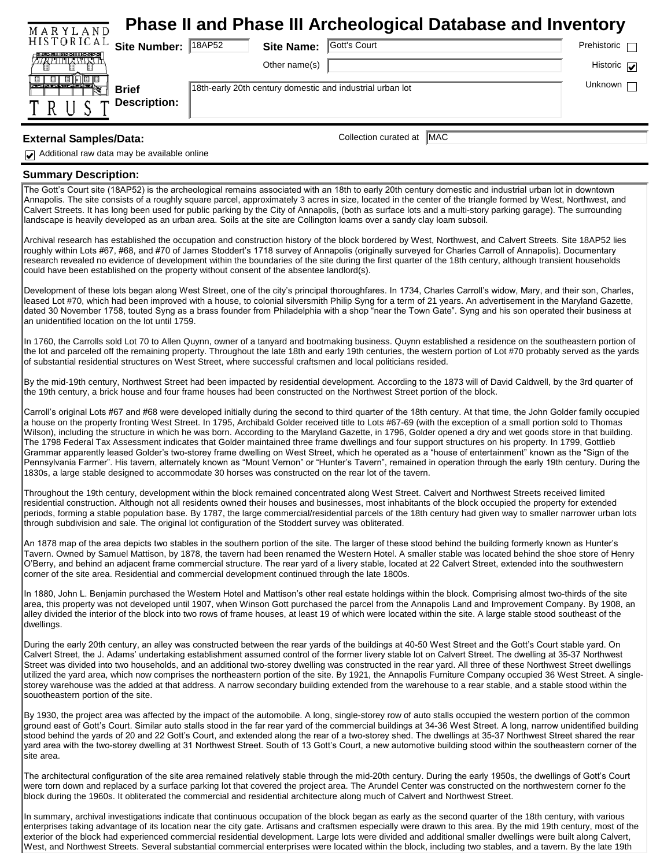| <b>Phase II and Phase III Archeological Database and Inventory</b><br>MARYLAND |                                                           |              |                     |
|--------------------------------------------------------------------------------|-----------------------------------------------------------|--------------|---------------------|
| HISTORICAL<br>Site Number: 18AP52                                              | <b>Site Name:</b>                                         | Gott's Court | Prehistoric         |
| - 第三年5月 11時5-3111175-3年5-2                                                     | Other name(s)                                             |              | Historic $\sqrt{ }$ |
| <b>Brief</b>                                                                   | 18th-early 20th century domestic and industrial urban lot |              | Unknown             |
| <b>Description:</b>                                                            |                                                           |              |                     |

## **External Samples/Data:** Collection curated at  $\sqrt{\text{MAC}}$

Additional raw data may be available online

## **Summary Description:**

The Gott's Court site (18AP52) is the archeological remains associated with an 18th to early 20th century domestic and industrial urban lot in downtown Annapolis. The site consists of a roughly square parcel, approximately 3 acres in size, located in the center of the triangle formed by West, Northwest, and Calvert Streets. It has long been used for public parking by the City of Annapolis, (both as surface lots and a multi-story parking garage). The surrounding landscape is heavily developed as an urban area. Soils at the site are Collington loams over a sandy clay loam subsoil.

Archival research has established the occupation and construction history of the block bordered by West, Northwest, and Calvert Streets. Site 18AP52 lies roughly within Lots #67, #68, and #70 of James Stoddert's 1718 survey of Annapolis (originally surveyed for Charles Carroll of Annapolis). Documentary research revealed no evidence of development within the boundaries of the site during the first quarter of the 18th century, although transient households could have been established on the property without consent of the absentee landlord(s).

Development of these lots began along West Street, one of the city's principal thoroughfares. In 1734, Charles Carroll's widow, Mary, and their son, Charles, leased Lot #70, which had been improved with a house, to colonial silversmith Philip Syng for a term of 21 years. An advertisement in the Maryland Gazette, dated 30 November 1758, touted Syng as a brass founder from Philadelphia with a shop "near the Town Gate". Syng and his son operated their business at an unidentified location on the lot until 1759.

In 1760, the Carrolls sold Lot 70 to Allen Quynn, owner of a tanyard and bootmaking business. Quynn established a residence on the southeastern portion of the lot and parceled off the remaining property. Throughout the late 18th and early 19th centuries, the western portion of Lot #70 probably served as the yards of substantial residential structures on West Street, where successful craftsmen and local politicians resided.

By the mid-19th century, Northwest Street had been impacted by residential development. According to the 1873 will of David Caldwell, by the 3rd quarter of the 19th century, a brick house and four frame houses had been constructed on the Northwest Street portion of the block.

Carroll's original Lots #67 and #68 were developed initially during the second to third quarter of the 18th century. At that time, the John Golder family occupied a house on the property fronting West Street. In 1795, Archibald Golder received title to Lots #67-69 (with the exception of a small portion sold to Thomas Wilson), including the structure in which he was born. According to the Maryland Gazette, in 1796, Golder opened a dry and wet goods store in that building. The 1798 Federal Tax Assessment indicates that Golder maintained three frame dwellings and four support structures on his property. In 1799, Gottlieb Grammar apparently leased Golder's two-storey frame dwelling on West Street, which he operated as a "house of entertainment" known as the "Sign of the Pennsylvania Farmer". His tavern, alternately known as "Mount Vernon" or "Hunter's Tavern", remained in operation through the early 19th century. During the 1830s, a large stable designed to accommodate 30 horses was constructed on the rear lot of the tavern.

Throughout the 19th century, development within the block remained concentrated along West Street. Calvert and Northwest Streets received limited residential construction. Although not all residents owned their houses and businesses, most inhabitants of the block occupied the property for extended periods, forming a stable population base. By 1787, the large commercial/residential parcels of the 18th century had given way to smaller narrower urban lots through subdivision and sale. The original lot configuration of the Stoddert survey was obliterated.

An 1878 map of the area depicts two stables in the southern portion of the site. The larger of these stood behind the building formerly known as Hunter's Tavern. Owned by Samuel Mattison, by 1878, the tavern had been renamed the Western Hotel. A smaller stable was located behind the shoe store of Henry O'Berry, and behind an adjacent frame commercial structure. The rear yard of a livery stable, located at 22 Calvert Street, extended into the southwestern corner of the site area. Residential and commercial development continued through the late 1800s.

In 1880, John L. Benjamin purchased the Western Hotel and Mattison's other real estate holdings within the block. Comprising almost two-thirds of the site area, this property was not developed until 1907, when Winson Gott purchased the parcel from the Annapolis Land and Improvement Company. By 1908, an alley divided the interior of the block into two rows of frame houses, at least 19 of which were located within the site. A large stable stood southeast of the dwellings.

During the early 20th century, an alley was constructed between the rear yards of the buildings at 40-50 West Street and the Gott's Court stable yard. On Calvert Street, the J. Adams' undertaking establishment assumed control of the former livery stable lot on Calvert Street. The dwelling at 35-37 Northwest Street was divided into two households, and an additional two-storey dwelling was constructed in the rear yard. All three of these Northwest Street dwellings utilized the yard area, which now comprises the northeastern portion of the site. By 1921, the Annapolis Furniture Company occupied 36 West Street. A singlestorey warehouse was the added at that address. A narrow secondary building extended from the warehouse to a rear stable, and a stable stood within the souotheastern portion of the site.

By 1930, the project area was affected by the impact of the automobile. A long, single-storey row of auto stalls occupied the western portion of the common ground east of Gott's Court. Similar auto stalls stood in the far rear yard of the commercial buildings at 34-36 West Street. A long, narrow unidentified building stood behind the yards of 20 and 22 Gott's Court, and extended along the rear of a two-storey shed. The dwellings at 35-37 Northwest Street shared the rear yard area with the two-storey dwelling at 31 Northwest Street. South of 13 Gott's Court, a new automotive building stood within the southeastern corner of the site area.

The architectural configuration of the site area remained relatively stable through the mid-20th century. During the early 1950s, the dwellings of Gott's Court were torn down and replaced by a surface parking lot that covered the project area. The Arundel Center was constructed on the northwestern corner fo the block during the 1960s. It obliterated the commercial and residential architecture along much of Calvert and Northwest Street.

In summary, archival investigations indicate that continuous occupation of the block began as early as the second quarter of the 18th century, with various enterprises taking advantage of its location near the city gate. Artisans and craftsmen especially were drawn to this area. By the mid 19th century, most of the exterior of the block had experienced commercial residential development. Large lots were divided and additional smaller dwellings were built along Calvert, West, and Northwest Streets. Several substantial commercial enterprises were located within the block, including two stables, and a tavern. By the late 19th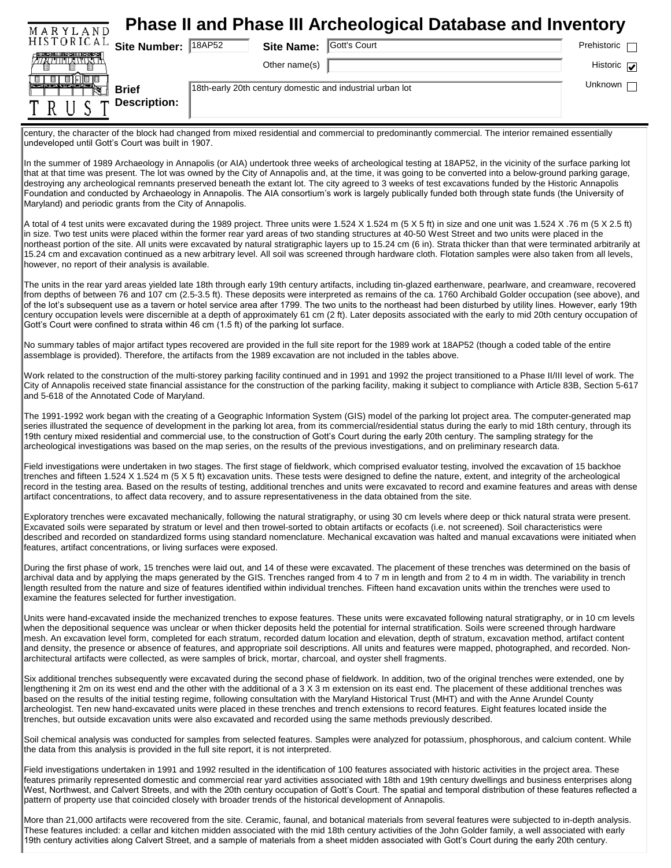| MARYLAND                                                                                                               |                   | <b>Phase II and Phase III Archeological Database and Inventory</b>                                                                                                                                                                                                                                                                                                                                                                                                                                                                                                                                                                                                   |                               |
|------------------------------------------------------------------------------------------------------------------------|-------------------|----------------------------------------------------------------------------------------------------------------------------------------------------------------------------------------------------------------------------------------------------------------------------------------------------------------------------------------------------------------------------------------------------------------------------------------------------------------------------------------------------------------------------------------------------------------------------------------------------------------------------------------------------------------------|-------------------------------|
| HISTORICAL<br>Site Number: 18AP52                                                                                      | <b>Site Name:</b> | Gott's Court                                                                                                                                                                                                                                                                                                                                                                                                                                                                                                                                                                                                                                                         | Prehistoric                   |
| יו יגויות וחדי                                                                                                         | Other name(s)     |                                                                                                                                                                                                                                                                                                                                                                                                                                                                                                                                                                                                                                                                      | Historic $\sqrt{\phantom{a}}$ |
| ▣   ▣   ▣   同   ▣   ⊟<br><b>Brief</b>                                                                                  |                   | 18th-early 20th century domestic and industrial urban lot                                                                                                                                                                                                                                                                                                                                                                                                                                                                                                                                                                                                            | Unknown                       |
| <b>Description:</b>                                                                                                    |                   |                                                                                                                                                                                                                                                                                                                                                                                                                                                                                                                                                                                                                                                                      |                               |
| undeveloped until Gott's Court was built in 1907.                                                                      |                   | century, the character of the block had changed from mixed residential and commercial to predominantly commercial. The interior remained essentially<br>In the summer of 1989 Archaeology in Annapolis (or AIA) undertook three weeks of archeological testing at 18AP52, in the vicinity of the surface parking lot                                                                                                                                                                                                                                                                                                                                                 |                               |
| Maryland) and periodic grants from the City of Annapolis.                                                              |                   | that at that time was present. The lot was owned by the City of Annapolis and, at the time, it was going to be converted into a below-ground parking garage,<br>destroying any archeological remnants preserved beneath the extant lot. The city agreed to 3 weeks of test excavations funded by the Historic Annapolis<br>Foundation and conducted by Archaeology in Annapolis. The AIA consortium's work is largely publically funded both through state funds (the University of                                                                                                                                                                                  |                               |
| however, no report of their analysis is available.                                                                     |                   | A total of 4 test units were excavated during the 1989 project. Three units were 1.524 X 1.524 m (5 X 5 ft) in size and one unit was 1.524 X .76 m (5 X 2.5 ft)<br>in size. Two test units were placed within the former rear yard areas of two standing structures at 40-50 West Street and two units were placed in the<br>northeast portion of the site. All units were excavated by natural stratigraphic layers up to 15.24 cm (6 in). Strata thicker than that were terminated arbitrarily at<br>15.24 cm and excavation continued as a new arbitrary level. All soil was screened through hardware cloth. Flotation samples were also taken from all levels,  |                               |
| Gott's Court were confined to strata within 46 cm (1.5 ft) of the parking lot surface.                                 |                   | The units in the rear yard areas yielded late 18th through early 19th century artifacts, including tin-glazed earthenware, pearlware, and creamware, recovered<br>from depths of between 76 and 107 cm (2.5-3.5 ft). These deposits were interpreted as remains of the ca. 1760 Archibald Golder occupation (see above), and<br>of the lot's subsequent use as a tavern or hotel service area after 1799. The two units to the northeast had been disturbed by utility lines. However, early 19th<br>century occupation levels were discernible at a depth of approximately 61 cm (2 ft). Later deposits associated with the early to mid 20th century occupation of |                               |
| assemblage is provided). Therefore, the artifacts from the 1989 excavation are not included in the tables above.       |                   | No summary tables of major artifact types recovered are provided in the full site report for the 1989 work at 18AP52 (though a coded table of the entire                                                                                                                                                                                                                                                                                                                                                                                                                                                                                                             |                               |
| and 5-618 of the Annotated Code of Maryland.                                                                           |                   | Work related to the construction of the multi-storey parking facility continued and in 1991 and 1992 the project transitioned to a Phase II/III level of work. The<br>City of Annapolis received state financial assistance for the construction of the parking facility, making it subject to compliance with Article 83B, Section 5-617                                                                                                                                                                                                                                                                                                                            |                               |
|                                                                                                                        |                   | The 1991-1992 work began with the creating of a Geographic Information System (GIS) model of the parking lot project area. The computer-generated map<br>series illustrated the sequence of development in the parking lot area, from its commercial/residential status during the early to mid 18th century, through its<br>19th century mixed residential and commercial use, to the construction of Gott's Court during the early 20th century. The sampling strategy for the<br>archeological investigations was based on the map series, on the results of the previous investigations, and on preliminary research data.                                       |                               |
| artifact concentrations, to affect data recovery, and to assure representativeness in the data obtained from the site. |                   | Field investigations were undertaken in two stages. The first stage of fieldwork, which comprised evaluator testing, involved the excavation of 15 backhoe<br>trenches and fifteen 1.524 X 1.524 m (5 X 5 ft) excavation units. These tests were designed to define the nature, extent, and integrity of the archeological<br>record in the testing area. Based on the results of testing, additional trenches and units were excavated to record and examine features and areas with dense                                                                                                                                                                          |                               |
| features, artifact concentrations, or living surfaces were exposed.                                                    |                   | Exploratory trenches were excavated mechanically, following the natural stratigraphy, or using 30 cm levels where deep or thick natural strata were present.<br>Excavated soils were separated by stratum or level and then trowel-sorted to obtain artifacts or ecofacts (i.e. not screened). Soil characteristics were<br>described and recorded on standardized forms using standard nomenclature. Mechanical excavation was halted and manual excavations were initiated when                                                                                                                                                                                    |                               |
| examine the features selected for further investigation.                                                               |                   | During the first phase of work, 15 trenches were laid out, and 14 of these were excavated. The placement of these trenches was determined on the basis of<br>archival data and by applying the maps generated by the GIS. Trenches ranged from 4 to 7 m in length and from 2 to 4 m in width. The variability in trench<br>length resulted from the nature and size of features identified within individual trenches. Fifteen hand excavation units within the trenches were used to                                                                                                                                                                                |                               |
|                                                                                                                        |                   | Units were hand-excavated inside the mechanized trenches to expose features. These units were excavated following natural stratigraphy, or in 10 cm levels                                                                                                                                                                                                                                                                                                                                                                                                                                                                                                           |                               |

when the depositional sequence was unclear or when thicker deposits held the potential for internal stratification. Soils were screened through hardware mesh. An excavation level form, completed for each stratum, recorded datum location and elevation, depth of stratum, excavation method, artifact content and density, the presence or absence of features, and appropriate soil descriptions. All units and features were mapped, photographed, and recorded. Nonarchitectural artifacts were collected, as were samples of brick, mortar, charcoal, and oyster shell fragments.

Six additional trenches subsequently were excavated during the second phase of fieldwork. In addition, two of the original trenches were extended, one by lengthening it 2m on its west end and the other with the additional of a 3 X 3 m extension on its east end. The placement of these additional trenches was based on the results of the initial testing regime, following consultation with the Maryland Historical Trust (MHT) and with the Anne Arundel County archeologist. Ten new hand-excavated units were placed in these trenches and trench extensions to record features. Eight features located inside the trenches, but outside excavation units were also excavated and recorded using the same methods previously described.

Soil chemical analysis was conducted for samples from selected features. Samples were analyzed for potassium, phosphorous, and calcium content. While the data from this analysis is provided in the full site report, it is not interpreted.

Field investigations undertaken in 1991 and 1992 resulted in the identification of 100 features associated with historic activities in the project area. These features primarily represented domestic and commercial rear yard activities associated with 18th and 19th century dwellings and business enterprises along West, Northwest, and Calvert Streets, and with the 20th century occupation of Gott's Court. The spatial and temporal distribution of these features reflected a pattern of property use that coincided closely with broader trends of the historical development of Annapolis.

More than 21,000 artifacts were recovered from the site. Ceramic, faunal, and botanical materials from several features were subjected to in-depth analysis. These features included: a cellar and kitchen midden associated with the mid 18th century activities of the John Golder family, a well associated with early 19th century activities along Calvert Street, and a sample of materials from a sheet midden associated with Gott's Court during the early 20th century.